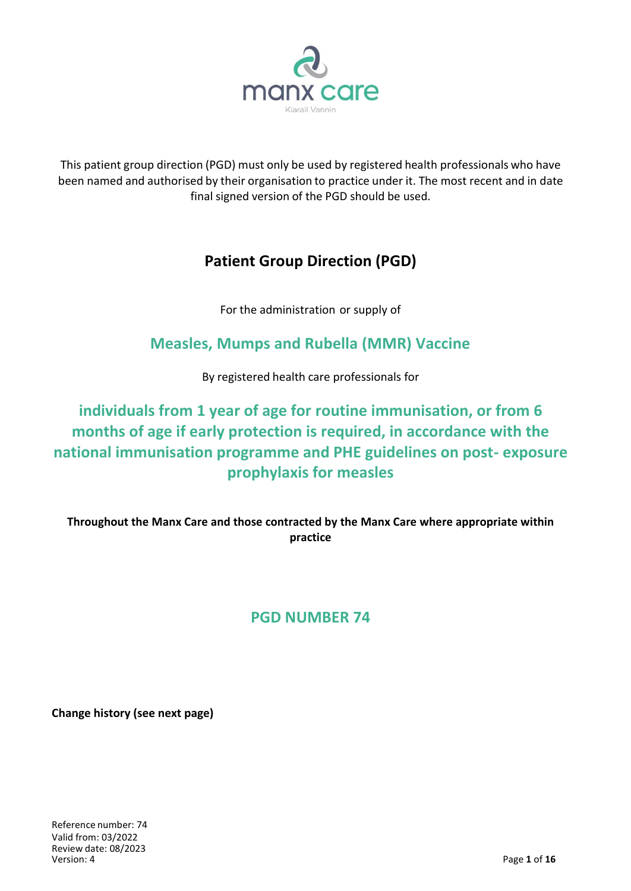

This patient group direction (PGD) must only be used by registered health professionals who have been named and authorised by their organisation to practice under it. The most recent and in date final signed version of the PGD should be used.

## **Patient Group Direction (PGD)**

For the administration or supply of

# **Measles, Mumps and Rubella (MMR) Vaccine**

By registered health care professionals for

# **individuals from 1 year of age for routine immunisation, or from 6 months of age if early protection is required, in accordance with the national immunisation programme and PHE guidelines on post- exposure prophylaxis for measles**

**Throughout the Manx Care and those contracted by the Manx Care where appropriate within practice**

## **PGD NUMBER 74**

**Change history (see next page)**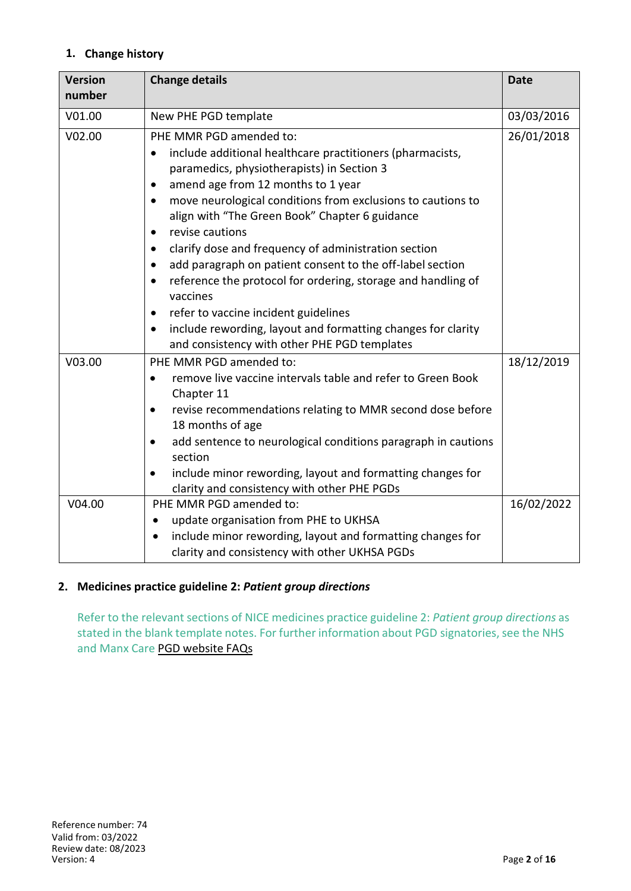## **1. Change history**

| <b>Version</b><br>number | <b>Change details</b>                                                                                                                                                                                                                                                                                                                                                                                                                                                                                                                                                                                                                                                                                                                      | <b>Date</b> |
|--------------------------|--------------------------------------------------------------------------------------------------------------------------------------------------------------------------------------------------------------------------------------------------------------------------------------------------------------------------------------------------------------------------------------------------------------------------------------------------------------------------------------------------------------------------------------------------------------------------------------------------------------------------------------------------------------------------------------------------------------------------------------------|-------------|
| V01.00                   | New PHE PGD template                                                                                                                                                                                                                                                                                                                                                                                                                                                                                                                                                                                                                                                                                                                       | 03/03/2016  |
| V02.00                   | PHE MMR PGD amended to:<br>include additional healthcare practitioners (pharmacists,<br>$\bullet$<br>paramedics, physiotherapists) in Section 3<br>amend age from 12 months to 1 year<br>$\bullet$<br>move neurological conditions from exclusions to cautions to<br>٠<br>align with "The Green Book" Chapter 6 guidance<br>revise cautions<br>٠<br>clarify dose and frequency of administration section<br>٠<br>add paragraph on patient consent to the off-label section<br>٠<br>reference the protocol for ordering, storage and handling of<br>٠<br>vaccines<br>refer to vaccine incident guidelines<br>٠<br>include rewording, layout and formatting changes for clarity<br>$\bullet$<br>and consistency with other PHE PGD templates | 26/01/2018  |
| V03.00                   | PHE MMR PGD amended to:<br>remove live vaccine intervals table and refer to Green Book<br>٠<br>Chapter 11<br>revise recommendations relating to MMR second dose before<br>$\bullet$<br>18 months of age<br>add sentence to neurological conditions paragraph in cautions<br>$\bullet$<br>section<br>include minor rewording, layout and formatting changes for<br>$\bullet$<br>clarity and consistency with other PHE PGDs                                                                                                                                                                                                                                                                                                                 | 18/12/2019  |
| V04.00                   | PHE MMR PGD amended to:<br>update organisation from PHE to UKHSA<br>$\bullet$<br>include minor rewording, layout and formatting changes for<br>clarity and consistency with other UKHSA PGDs                                                                                                                                                                                                                                                                                                                                                                                                                                                                                                                                               | 16/02/2022  |

## **2. Medicines practice guideline 2:** *Patient group directions*

Refer to the relevant sections of NICE medicines practice guideline 2: *Patient group directions* as stated in the blank template notes. For further information about PGD signatories, see the NHS and Manx Care PGD website FAQs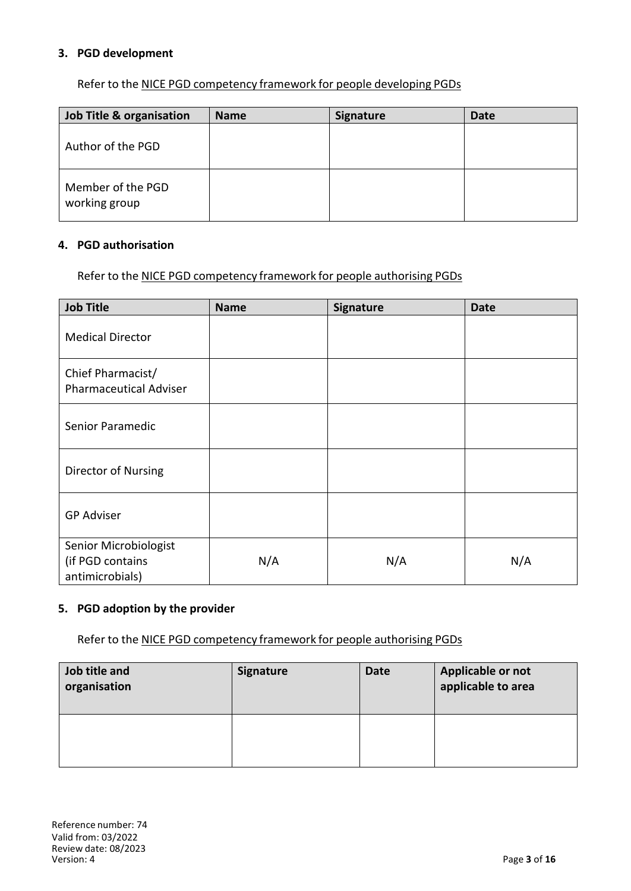### **3. PGD development**

Refer to the NICE PGD competency framework for people developing PGDs

| Job Title & organisation           | <b>Name</b> | <b>Signature</b> | <b>Date</b> |
|------------------------------------|-------------|------------------|-------------|
| Author of the PGD                  |             |                  |             |
| Member of the PGD<br>working group |             |                  |             |

#### **4. PGD authorisation**

Refer to the NICE PGD competency framework for people authorising PGDs

| <b>Job Title</b>                                             | <b>Name</b> | Signature | <b>Date</b> |
|--------------------------------------------------------------|-------------|-----------|-------------|
| <b>Medical Director</b>                                      |             |           |             |
| Chief Pharmacist/<br><b>Pharmaceutical Adviser</b>           |             |           |             |
| Senior Paramedic                                             |             |           |             |
| Director of Nursing                                          |             |           |             |
| <b>GP Adviser</b>                                            |             |           |             |
| Senior Microbiologist<br>(if PGD contains<br>antimicrobials) | N/A         | N/A       | N/A         |

## **5. PGD adoption by the provider**

Refer to the NICE PGD [competency](http://www.nice.org.uk/guidance/mpg2/resources/mpg2-patient-group-directions5) framework for people authorising PGDs

| Job title and<br>organisation | <b>Signature</b> | <b>Date</b> | Applicable or not<br>applicable to area |
|-------------------------------|------------------|-------------|-----------------------------------------|
|                               |                  |             |                                         |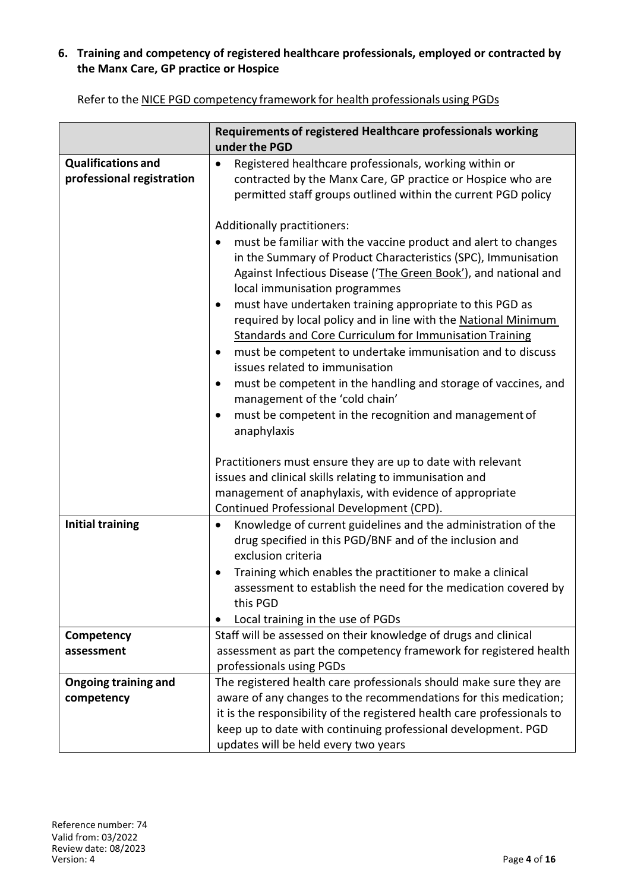## **6. Training and competency of registered healthcare professionals, employed or contracted by the Manx Care, GP practice or Hospice**

|                                                        | Requirements of registered Healthcare professionals working<br>under the PGD                                                                                                                                                                                                                                                                                                                                                                                                                                                                                                                                                                                                                                                                                                         |
|--------------------------------------------------------|--------------------------------------------------------------------------------------------------------------------------------------------------------------------------------------------------------------------------------------------------------------------------------------------------------------------------------------------------------------------------------------------------------------------------------------------------------------------------------------------------------------------------------------------------------------------------------------------------------------------------------------------------------------------------------------------------------------------------------------------------------------------------------------|
| <b>Qualifications and</b><br>professional registration | Registered healthcare professionals, working within or<br>$\bullet$<br>contracted by the Manx Care, GP practice or Hospice who are<br>permitted staff groups outlined within the current PGD policy                                                                                                                                                                                                                                                                                                                                                                                                                                                                                                                                                                                  |
|                                                        | Additionally practitioners:<br>must be familiar with the vaccine product and alert to changes<br>in the Summary of Product Characteristics (SPC), Immunisation<br>Against Infectious Disease ('The Green Book'), and national and<br>local immunisation programmes<br>must have undertaken training appropriate to this PGD as<br>$\bullet$<br>required by local policy and in line with the National Minimum<br>Standards and Core Curriculum for Immunisation Training<br>must be competent to undertake immunisation and to discuss<br>$\bullet$<br>issues related to immunisation<br>must be competent in the handling and storage of vaccines, and<br>$\bullet$<br>management of the 'cold chain'<br>must be competent in the recognition and management of<br>٠<br>anaphylaxis |
|                                                        | Practitioners must ensure they are up to date with relevant<br>issues and clinical skills relating to immunisation and<br>management of anaphylaxis, with evidence of appropriate<br>Continued Professional Development (CPD).                                                                                                                                                                                                                                                                                                                                                                                                                                                                                                                                                       |
| <b>Initial training</b>                                | Knowledge of current guidelines and the administration of the<br>$\bullet$<br>drug specified in this PGD/BNF and of the inclusion and<br>exclusion criteria<br>Training which enables the practitioner to make a clinical<br>assessment to establish the need for the medication covered by<br>this PGD<br>Local training in the use of PGDs                                                                                                                                                                                                                                                                                                                                                                                                                                         |
| Competency<br>assessment                               | Staff will be assessed on their knowledge of drugs and clinical<br>assessment as part the competency framework for registered health<br>professionals using PGDs                                                                                                                                                                                                                                                                                                                                                                                                                                                                                                                                                                                                                     |
| <b>Ongoing training and</b><br>competency              | The registered health care professionals should make sure they are<br>aware of any changes to the recommendations for this medication;<br>it is the responsibility of the registered health care professionals to<br>keep up to date with continuing professional development. PGD<br>updates will be held every two years                                                                                                                                                                                                                                                                                                                                                                                                                                                           |

Refer to the NICE PGD competency framework for health professionals using PGDs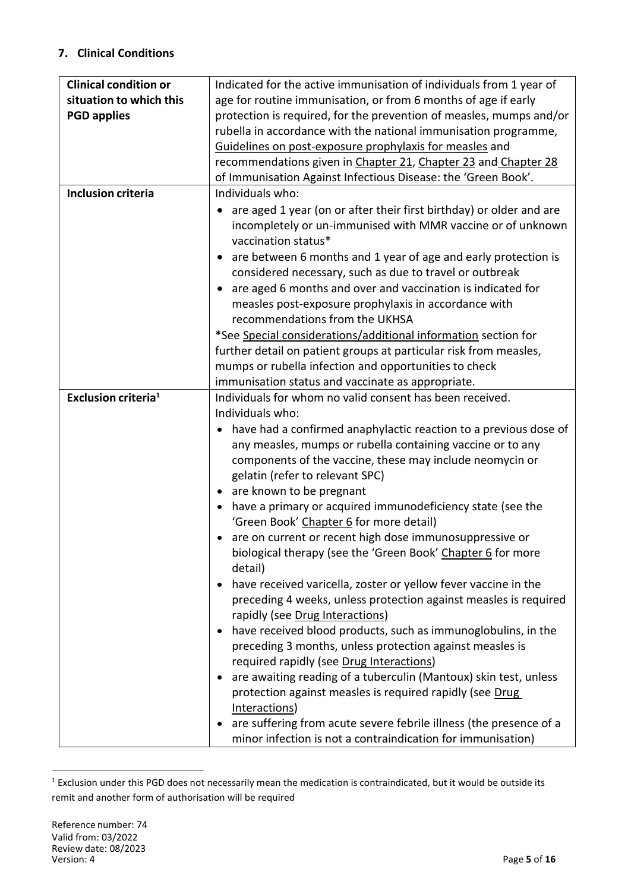## **7. Clinical Conditions**

| <b>Clinical condition or</b>    | Indicated for the active immunisation of individuals from 1 year of         |
|---------------------------------|-----------------------------------------------------------------------------|
| situation to which this         | age for routine immunisation, or from 6 months of age if early              |
| <b>PGD applies</b>              | protection is required, for the prevention of measles, mumps and/or         |
|                                 | rubella in accordance with the national immunisation programme,             |
|                                 | Guidelines on post-exposure prophylaxis for measles and                     |
|                                 | recommendations given in Chapter 21, Chapter 23 and Chapter 28              |
|                                 | of Immunisation Against Infectious Disease: the 'Green Book'.               |
| <b>Inclusion criteria</b>       | Individuals who:                                                            |
|                                 | are aged 1 year (on or after their first birthday) or older and are         |
|                                 | incompletely or un-immunised with MMR vaccine or of unknown                 |
|                                 | vaccination status*                                                         |
|                                 | are between 6 months and 1 year of age and early protection is<br>$\bullet$ |
|                                 | considered necessary, such as due to travel or outbreak                     |
|                                 | are aged 6 months and over and vaccination is indicated for<br>$\bullet$    |
|                                 | measles post-exposure prophylaxis in accordance with                        |
|                                 | recommendations from the UKHSA                                              |
|                                 | *See Special considerations/additional information section for              |
|                                 | further detail on patient groups at particular risk from measles,           |
|                                 | mumps or rubella infection and opportunities to check                       |
|                                 | immunisation status and vaccinate as appropriate.                           |
| Exclusion criteria <sup>1</sup> | Individuals for whom no valid consent has been received.                    |
|                                 | Individuals who:                                                            |
|                                 | have had a confirmed anaphylactic reaction to a previous dose of            |
|                                 | any measles, mumps or rubella containing vaccine or to any                  |
|                                 | components of the vaccine, these may include neomycin or                    |
|                                 | gelatin (refer to relevant SPC)                                             |
|                                 | • are known to be pregnant                                                  |
|                                 | have a primary or acquired immunodeficiency state (see the<br>$\bullet$     |
|                                 | 'Green Book' Chapter 6 for more detail)                                     |
|                                 | are on current or recent high dose immunosuppressive or                     |
|                                 | biological therapy (see the 'Green Book' Chapter 6 for more                 |
|                                 | detail)                                                                     |
|                                 | have received varicella, zoster or yellow fever vaccine in the              |
|                                 | preceding 4 weeks, unless protection against measles is required            |
|                                 | rapidly (see Drug Interactions)                                             |
|                                 | have received blood products, such as immunoglobulins, in the               |
|                                 | preceding 3 months, unless protection against measles is                    |
|                                 | required rapidly (see Drug Interactions)                                    |
|                                 | are awaiting reading of a tuberculin (Mantoux) skin test, unless            |
|                                 | protection against measles is required rapidly (see Drug                    |
|                                 | Interactions)                                                               |
|                                 | are suffering from acute severe febrile illness (the presence of a          |
|                                 | minor infection is not a contraindication for immunisation)                 |

<sup>&</sup>lt;sup>1</sup> Exclusion under this PGD does not necessarily mean the medication is contraindicated, but it would be outside its remit and another form of authorisation will be required

 $\overline{a}$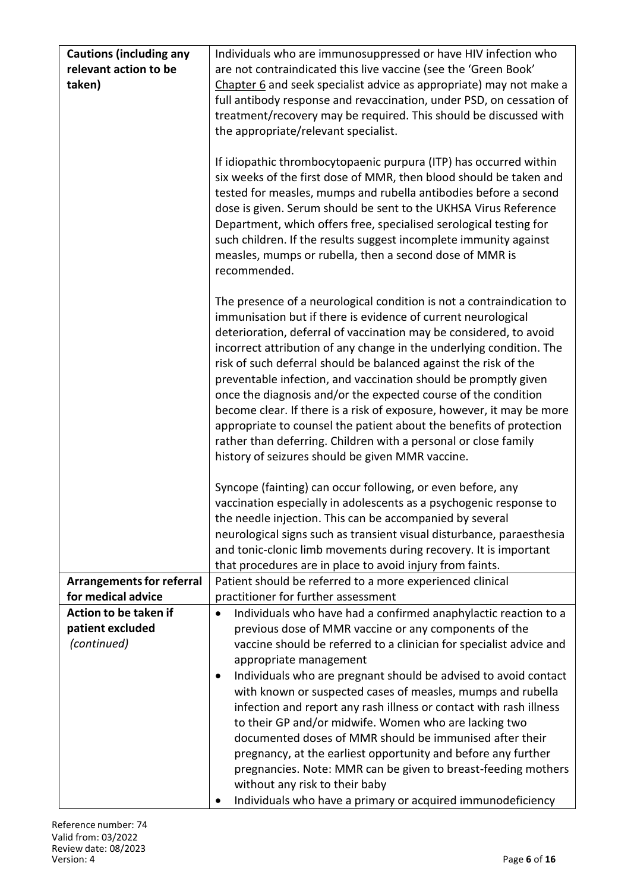| <b>Cautions (including any</b>   | Individuals who are immunosuppressed or have HIV infection who                                                                                                                                                                                                                                                                                                                                                                                                                                                                                                                                                                                                                                                                                                       |
|----------------------------------|----------------------------------------------------------------------------------------------------------------------------------------------------------------------------------------------------------------------------------------------------------------------------------------------------------------------------------------------------------------------------------------------------------------------------------------------------------------------------------------------------------------------------------------------------------------------------------------------------------------------------------------------------------------------------------------------------------------------------------------------------------------------|
| relevant action to be            | are not contraindicated this live vaccine (see the 'Green Book'                                                                                                                                                                                                                                                                                                                                                                                                                                                                                                                                                                                                                                                                                                      |
| taken)                           | Chapter 6 and seek specialist advice as appropriate) may not make a                                                                                                                                                                                                                                                                                                                                                                                                                                                                                                                                                                                                                                                                                                  |
|                                  | full antibody response and revaccination, under PSD, on cessation of                                                                                                                                                                                                                                                                                                                                                                                                                                                                                                                                                                                                                                                                                                 |
|                                  | treatment/recovery may be required. This should be discussed with                                                                                                                                                                                                                                                                                                                                                                                                                                                                                                                                                                                                                                                                                                    |
|                                  | the appropriate/relevant specialist.                                                                                                                                                                                                                                                                                                                                                                                                                                                                                                                                                                                                                                                                                                                                 |
|                                  | If idiopathic thrombocytopaenic purpura (ITP) has occurred within<br>six weeks of the first dose of MMR, then blood should be taken and<br>tested for measles, mumps and rubella antibodies before a second<br>dose is given. Serum should be sent to the UKHSA Virus Reference<br>Department, which offers free, specialised serological testing for<br>such children. If the results suggest incomplete immunity against<br>measles, mumps or rubella, then a second dose of MMR is<br>recommended.                                                                                                                                                                                                                                                                |
|                                  | The presence of a neurological condition is not a contraindication to<br>immunisation but if there is evidence of current neurological<br>deterioration, deferral of vaccination may be considered, to avoid<br>incorrect attribution of any change in the underlying condition. The<br>risk of such deferral should be balanced against the risk of the<br>preventable infection, and vaccination should be promptly given<br>once the diagnosis and/or the expected course of the condition<br>become clear. If there is a risk of exposure, however, it may be more<br>appropriate to counsel the patient about the benefits of protection<br>rather than deferring. Children with a personal or close family<br>history of seizures should be given MMR vaccine. |
|                                  | Syncope (fainting) can occur following, or even before, any                                                                                                                                                                                                                                                                                                                                                                                                                                                                                                                                                                                                                                                                                                          |
|                                  | vaccination especially in adolescents as a psychogenic response to<br>the needle injection. This can be accompanied by several                                                                                                                                                                                                                                                                                                                                                                                                                                                                                                                                                                                                                                       |
|                                  | neurological signs such as transient visual disturbance, paraesthesia                                                                                                                                                                                                                                                                                                                                                                                                                                                                                                                                                                                                                                                                                                |
|                                  | and tonic-clonic limb movements during recovery. It is important                                                                                                                                                                                                                                                                                                                                                                                                                                                                                                                                                                                                                                                                                                     |
|                                  | that procedures are in place to avoid injury from faints.                                                                                                                                                                                                                                                                                                                                                                                                                                                                                                                                                                                                                                                                                                            |
| <b>Arrangements for referral</b> | Patient should be referred to a more experienced clinical                                                                                                                                                                                                                                                                                                                                                                                                                                                                                                                                                                                                                                                                                                            |
| for medical advice               | practitioner for further assessment                                                                                                                                                                                                                                                                                                                                                                                                                                                                                                                                                                                                                                                                                                                                  |
| Action to be taken if            | Individuals who have had a confirmed anaphylactic reaction to a<br>$\bullet$                                                                                                                                                                                                                                                                                                                                                                                                                                                                                                                                                                                                                                                                                         |
| patient excluded                 | previous dose of MMR vaccine or any components of the                                                                                                                                                                                                                                                                                                                                                                                                                                                                                                                                                                                                                                                                                                                |
| (continued)                      | vaccine should be referred to a clinician for specialist advice and                                                                                                                                                                                                                                                                                                                                                                                                                                                                                                                                                                                                                                                                                                  |
|                                  | appropriate management                                                                                                                                                                                                                                                                                                                                                                                                                                                                                                                                                                                                                                                                                                                                               |
|                                  | Individuals who are pregnant should be advised to avoid contact<br>٠                                                                                                                                                                                                                                                                                                                                                                                                                                                                                                                                                                                                                                                                                                 |
|                                  | with known or suspected cases of measles, mumps and rubella<br>infection and report any rash illness or contact with rash illness                                                                                                                                                                                                                                                                                                                                                                                                                                                                                                                                                                                                                                    |
|                                  | to their GP and/or midwife. Women who are lacking two                                                                                                                                                                                                                                                                                                                                                                                                                                                                                                                                                                                                                                                                                                                |
|                                  | documented doses of MMR should be immunised after their                                                                                                                                                                                                                                                                                                                                                                                                                                                                                                                                                                                                                                                                                                              |
|                                  | pregnancy, at the earliest opportunity and before any further                                                                                                                                                                                                                                                                                                                                                                                                                                                                                                                                                                                                                                                                                                        |
|                                  | pregnancies. Note: MMR can be given to breast-feeding mothers                                                                                                                                                                                                                                                                                                                                                                                                                                                                                                                                                                                                                                                                                                        |
|                                  | without any risk to their baby                                                                                                                                                                                                                                                                                                                                                                                                                                                                                                                                                                                                                                                                                                                                       |
|                                  | Individuals who have a primary or acquired immunodeficiency                                                                                                                                                                                                                                                                                                                                                                                                                                                                                                                                                                                                                                                                                                          |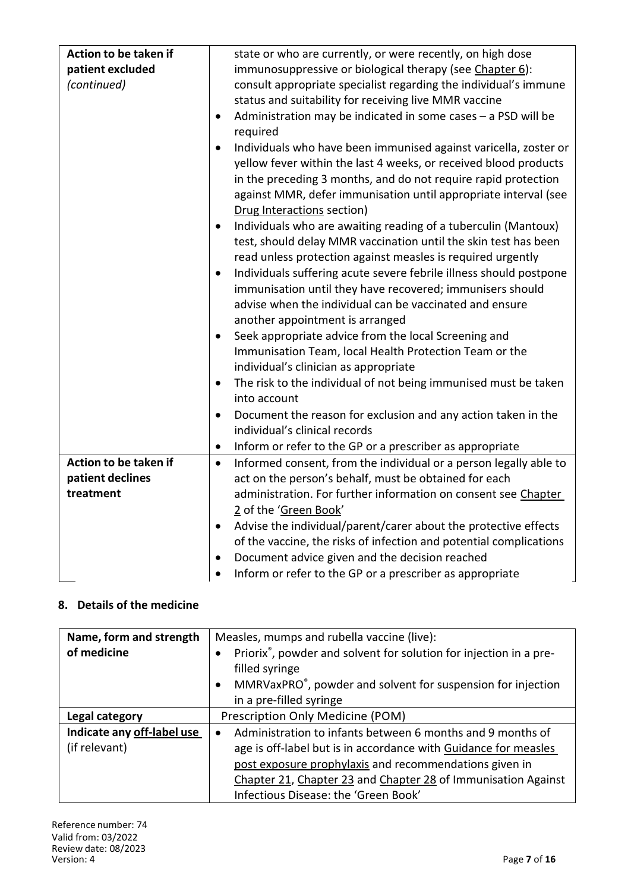| Action to be taken if                                  | state or who are currently, or were recently, on high dose                                                                                                                                                                                                                                                           |
|--------------------------------------------------------|----------------------------------------------------------------------------------------------------------------------------------------------------------------------------------------------------------------------------------------------------------------------------------------------------------------------|
| patient excluded                                       | immunosuppressive or biological therapy (see Chapter 6):                                                                                                                                                                                                                                                             |
| (continued)                                            | consult appropriate specialist regarding the individual's immune                                                                                                                                                                                                                                                     |
|                                                        | status and suitability for receiving live MMR vaccine                                                                                                                                                                                                                                                                |
|                                                        | Administration may be indicated in some cases - a PSD will be<br>$\bullet$<br>required                                                                                                                                                                                                                               |
|                                                        | Individuals who have been immunised against varicella, zoster or<br>$\bullet$<br>yellow fever within the last 4 weeks, or received blood products<br>in the preceding 3 months, and do not require rapid protection<br>against MMR, defer immunisation until appropriate interval (see<br>Drug Interactions section) |
|                                                        | Individuals who are awaiting reading of a tuberculin (Mantoux)<br>$\bullet$<br>test, should delay MMR vaccination until the skin test has been<br>read unless protection against measles is required urgently                                                                                                        |
|                                                        | Individuals suffering acute severe febrile illness should postpone<br>$\bullet$<br>immunisation until they have recovered; immunisers should<br>advise when the individual can be vaccinated and ensure                                                                                                              |
|                                                        | another appointment is arranged<br>Seek appropriate advice from the local Screening and<br>$\bullet$<br>Immunisation Team, local Health Protection Team or the<br>individual's clinician as appropriate                                                                                                              |
|                                                        | The risk to the individual of not being immunised must be taken<br>into account                                                                                                                                                                                                                                      |
|                                                        | Document the reason for exclusion and any action taken in the<br>$\bullet$<br>individual's clinical records                                                                                                                                                                                                          |
|                                                        | Inform or refer to the GP or a prescriber as appropriate<br>$\bullet$                                                                                                                                                                                                                                                |
| Action to be taken if<br>patient declines<br>treatment | Informed consent, from the individual or a person legally able to<br>$\bullet$<br>act on the person's behalf, must be obtained for each<br>administration. For further information on consent see Chapter<br>2 of the 'Green Book'                                                                                   |
|                                                        | Advise the individual/parent/carer about the protective effects<br>$\bullet$<br>of the vaccine, the risks of infection and potential complications                                                                                                                                                                   |
|                                                        | Document advice given and the decision reached<br>$\bullet$<br>Inform or refer to the GP or a prescriber as appropriate<br>$\bullet$                                                                                                                                                                                 |

## **8. Details of the medicine**

| Name, form and strength    | Measles, mumps and rubella vaccine (live):                                                                                                                                                              |  |
|----------------------------|---------------------------------------------------------------------------------------------------------------------------------------------------------------------------------------------------------|--|
| of medicine                | Priorix <sup>®</sup> , powder and solvent for solution for injection in a pre-<br>filled syringe<br>MMRVaxPRO <sup>®</sup> , powder and solvent for suspension for injection<br>in a pre-filled syringe |  |
| Legal category             | Prescription Only Medicine (POM)                                                                                                                                                                        |  |
| Indicate any off-label use | Administration to infants between 6 months and 9 months of                                                                                                                                              |  |
| (if relevant)              | age is off-label but is in accordance with Guidance for measles                                                                                                                                         |  |
|                            | post exposure prophylaxis and recommendations given in                                                                                                                                                  |  |
|                            | Chapter 21, Chapter 23 and Chapter 28 of Immunisation Against                                                                                                                                           |  |
|                            | Infectious Disease: the 'Green Book'                                                                                                                                                                    |  |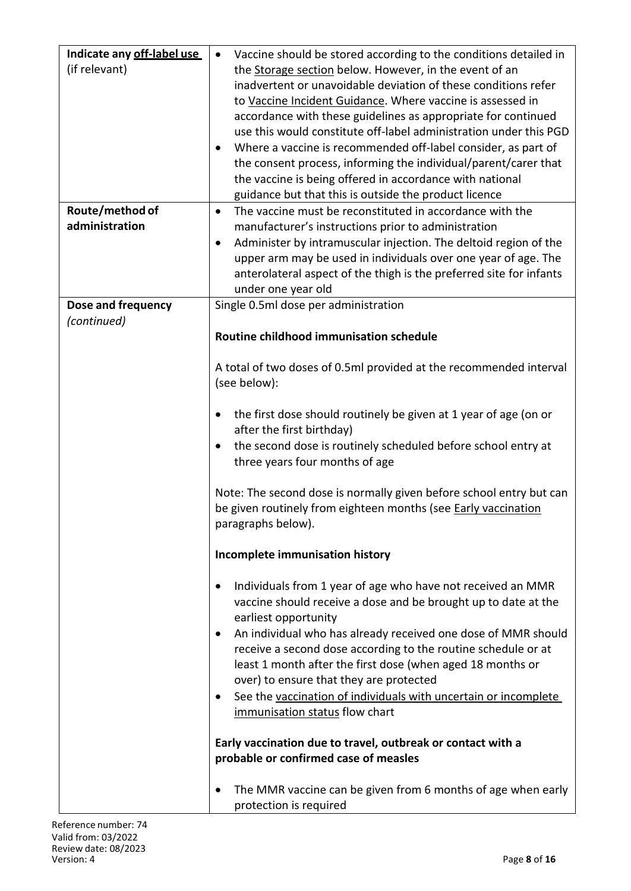| Indicate any off-label use | Vaccine should be stored according to the conditions detailed in<br>$\bullet$ |
|----------------------------|-------------------------------------------------------------------------------|
| (if relevant)              | the Storage section below. However, in the event of an                        |
|                            | inadvertent or unavoidable deviation of these conditions refer                |
|                            | to Vaccine Incident Guidance. Where vaccine is assessed in                    |
|                            | accordance with these guidelines as appropriate for continued                 |
|                            | use this would constitute off-label administration under this PGD             |
|                            | Where a vaccine is recommended off-label consider, as part of                 |
|                            | the consent process, informing the individual/parent/carer that               |
|                            | the vaccine is being offered in accordance with national                      |
|                            | guidance but that this is outside the product licence                         |
| Route/method of            | The vaccine must be reconstituted in accordance with the<br>$\bullet$         |
| administration             | manufacturer's instructions prior to administration                           |
|                            | Administer by intramuscular injection. The deltoid region of the<br>٠         |
|                            | upper arm may be used in individuals over one year of age. The                |
|                            | anterolateral aspect of the thigh is the preferred site for infants           |
|                            | under one year old                                                            |
| Dose and frequency         | Single 0.5ml dose per administration                                          |
| (continued)                |                                                                               |
|                            | Routine childhood immunisation schedule                                       |
|                            |                                                                               |
|                            | A total of two doses of 0.5ml provided at the recommended interval            |
|                            | (see below):                                                                  |
|                            |                                                                               |
|                            | the first dose should routinely be given at 1 year of age (on or<br>$\bullet$ |
|                            | after the first birthday)                                                     |
|                            | the second dose is routinely scheduled before school entry at<br>$\bullet$    |
|                            | three years four months of age                                                |
|                            |                                                                               |
|                            | Note: The second dose is normally given before school entry but can           |
|                            | be given routinely from eighteen months (see <b>Early vaccination</b>         |
|                            | paragraphs below).                                                            |
|                            | Incomplete immunisation history                                               |
|                            |                                                                               |
|                            | Individuals from 1 year of age who have not received an MMR                   |
|                            | vaccine should receive a dose and be brought up to date at the                |
|                            | earliest opportunity                                                          |
|                            | An individual who has already received one dose of MMR should<br>$\bullet$    |
|                            | receive a second dose according to the routine schedule or at                 |
|                            | least 1 month after the first dose (when aged 18 months or                    |
|                            | over) to ensure that they are protected                                       |
|                            | See the vaccination of individuals with uncertain or incomplete<br>$\bullet$  |
|                            | immunisation status flow chart                                                |
|                            |                                                                               |
|                            | Early vaccination due to travel, outbreak or contact with a                   |
|                            | probable or confirmed case of measles                                         |
|                            | The MMR vaccine can be given from 6 months of age when early<br>٠             |
|                            | protection is required                                                        |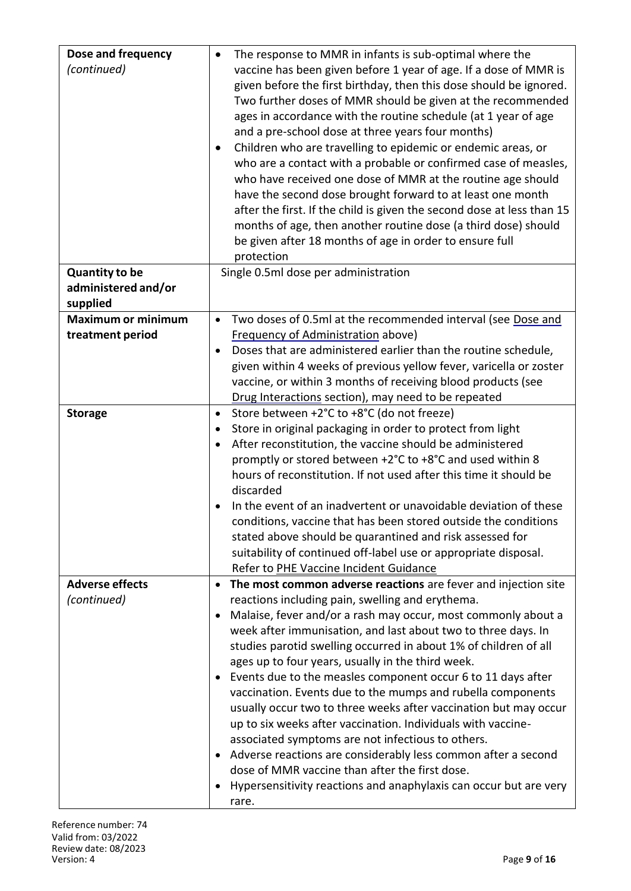| Dose and frequency<br>(continued)                        | The response to MMR in infants is sub-optimal where the<br>vaccine has been given before 1 year of age. If a dose of MMR is<br>given before the first birthday, then this dose should be ignored.<br>Two further doses of MMR should be given at the recommended<br>ages in accordance with the routine schedule (at 1 year of age<br>and a pre-school dose at three years four months)<br>Children who are travelling to epidemic or endemic areas, or<br>who are a contact with a probable or confirmed case of measles,<br>who have received one dose of MMR at the routine age should<br>have the second dose brought forward to at least one month<br>after the first. If the child is given the second dose at less than 15<br>months of age, then another routine dose (a third dose) should<br>be given after 18 months of age in order to ensure full                                         |
|----------------------------------------------------------|--------------------------------------------------------------------------------------------------------------------------------------------------------------------------------------------------------------------------------------------------------------------------------------------------------------------------------------------------------------------------------------------------------------------------------------------------------------------------------------------------------------------------------------------------------------------------------------------------------------------------------------------------------------------------------------------------------------------------------------------------------------------------------------------------------------------------------------------------------------------------------------------------------|
|                                                          | protection                                                                                                                                                                                                                                                                                                                                                                                                                                                                                                                                                                                                                                                                                                                                                                                                                                                                                             |
| <b>Quantity to be</b><br>administered and/or<br>supplied | Single 0.5ml dose per administration                                                                                                                                                                                                                                                                                                                                                                                                                                                                                                                                                                                                                                                                                                                                                                                                                                                                   |
| <b>Maximum or minimum</b><br>treatment period            | Two doses of 0.5ml at the recommended interval (see Dose and<br>$\bullet$<br><b>Frequency of Administration above)</b><br>Doses that are administered earlier than the routine schedule,<br>given within 4 weeks of previous yellow fever, varicella or zoster<br>vaccine, or within 3 months of receiving blood products (see<br>Drug Interactions section), may need to be repeated                                                                                                                                                                                                                                                                                                                                                                                                                                                                                                                  |
| <b>Storage</b>                                           | Store between +2°C to +8°C (do not freeze)<br>$\bullet$<br>Store in original packaging in order to protect from light<br>٠<br>After reconstitution, the vaccine should be administered<br>promptly or stored between +2°C to +8°C and used within 8<br>hours of reconstitution. If not used after this time it should be<br>discarded<br>In the event of an inadvertent or unavoidable deviation of these<br>conditions, vaccine that has been stored outside the conditions<br>stated above should be quarantined and risk assessed for<br>suitability of continued off-label use or appropriate disposal.<br>Refer to PHE Vaccine Incident Guidance                                                                                                                                                                                                                                                  |
| <b>Adverse effects</b><br>(continued)                    | The most common adverse reactions are fever and injection site<br>reactions including pain, swelling and erythema.<br>Malaise, fever and/or a rash may occur, most commonly about a<br>week after immunisation, and last about two to three days. In<br>studies parotid swelling occurred in about 1% of children of all<br>ages up to four years, usually in the third week.<br>Events due to the measles component occur 6 to 11 days after<br>vaccination. Events due to the mumps and rubella components<br>usually occur two to three weeks after vaccination but may occur<br>up to six weeks after vaccination. Individuals with vaccine-<br>associated symptoms are not infectious to others.<br>Adverse reactions are considerably less common after a second<br>dose of MMR vaccine than after the first dose.<br>Hypersensitivity reactions and anaphylaxis can occur but are very<br>rare. |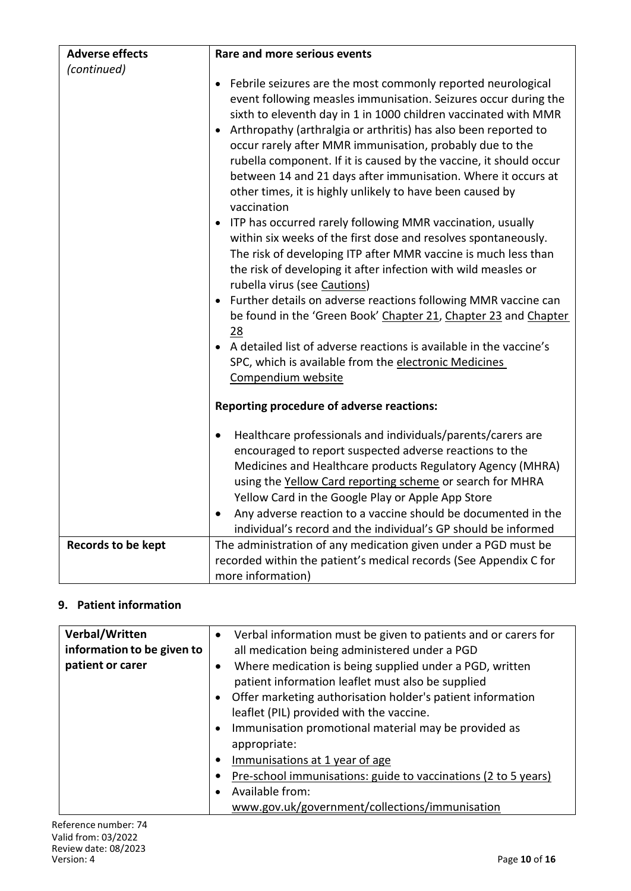| <b>Adverse effects</b>    | Rare and more serious events                                                                                                                                                                                                                                                                                                                                                                                                                                                                                                                                                                                                                                                                                                                                                                                                                                                                                                                                                                                                                                                                                                                                          |  |
|---------------------------|-----------------------------------------------------------------------------------------------------------------------------------------------------------------------------------------------------------------------------------------------------------------------------------------------------------------------------------------------------------------------------------------------------------------------------------------------------------------------------------------------------------------------------------------------------------------------------------------------------------------------------------------------------------------------------------------------------------------------------------------------------------------------------------------------------------------------------------------------------------------------------------------------------------------------------------------------------------------------------------------------------------------------------------------------------------------------------------------------------------------------------------------------------------------------|--|
| (continued)               |                                                                                                                                                                                                                                                                                                                                                                                                                                                                                                                                                                                                                                                                                                                                                                                                                                                                                                                                                                                                                                                                                                                                                                       |  |
|                           | Febrile seizures are the most commonly reported neurological<br>$\bullet$<br>event following measles immunisation. Seizures occur during the<br>sixth to eleventh day in 1 in 1000 children vaccinated with MMR<br>Arthropathy (arthralgia or arthritis) has also been reported to<br>occur rarely after MMR immunisation, probably due to the<br>rubella component. If it is caused by the vaccine, it should occur<br>between 14 and 21 days after immunisation. Where it occurs at<br>other times, it is highly unlikely to have been caused by<br>vaccination<br>ITP has occurred rarely following MMR vaccination, usually<br>within six weeks of the first dose and resolves spontaneously.<br>The risk of developing ITP after MMR vaccine is much less than<br>the risk of developing it after infection with wild measles or<br>rubella virus (see Cautions)<br>Further details on adverse reactions following MMR vaccine can<br>be found in the 'Green Book' Chapter 21, Chapter 23 and Chapter<br>28<br>A detailed list of adverse reactions is available in the vaccine's<br>SPC, which is available from the electronic Medicines<br>Compendium website |  |
|                           | <b>Reporting procedure of adverse reactions:</b>                                                                                                                                                                                                                                                                                                                                                                                                                                                                                                                                                                                                                                                                                                                                                                                                                                                                                                                                                                                                                                                                                                                      |  |
|                           | Healthcare professionals and individuals/parents/carers are<br>٠<br>encouraged to report suspected adverse reactions to the<br>Medicines and Healthcare products Regulatory Agency (MHRA)<br>using the Yellow Card reporting scheme or search for MHRA<br>Yellow Card in the Google Play or Apple App Store<br>Any adverse reaction to a vaccine should be documented in the<br>$\bullet$<br>individual's record and the individual's GP should be informed                                                                                                                                                                                                                                                                                                                                                                                                                                                                                                                                                                                                                                                                                                           |  |
| <b>Records to be kept</b> | The administration of any medication given under a PGD must be                                                                                                                                                                                                                                                                                                                                                                                                                                                                                                                                                                                                                                                                                                                                                                                                                                                                                                                                                                                                                                                                                                        |  |
|                           | recorded within the patient's medical records (See Appendix C for                                                                                                                                                                                                                                                                                                                                                                                                                                                                                                                                                                                                                                                                                                                                                                                                                                                                                                                                                                                                                                                                                                     |  |
|                           | more information)                                                                                                                                                                                                                                                                                                                                                                                                                                                                                                                                                                                                                                                                                                                                                                                                                                                                                                                                                                                                                                                                                                                                                     |  |

## **9. Patient information**

| Verbal/Written<br>information to be given to<br>patient or carer | Verbal information must be given to patients and or carers for<br>$\bullet$<br>all medication being administered under a PGD<br>Where medication is being supplied under a PGD, written<br>$\bullet$<br>patient information leaflet must also be supplied<br>Offer marketing authorisation holder's patient information<br>$\bullet$<br>leaflet (PIL) provided with the vaccine.<br>Immunisation promotional material may be provided as<br>$\bullet$<br>appropriate:<br>Immunisations at 1 year of age<br>$\bullet$<br>Pre-school immunisations: guide to vaccinations (2 to 5 years) |
|------------------------------------------------------------------|----------------------------------------------------------------------------------------------------------------------------------------------------------------------------------------------------------------------------------------------------------------------------------------------------------------------------------------------------------------------------------------------------------------------------------------------------------------------------------------------------------------------------------------------------------------------------------------|
|                                                                  |                                                                                                                                                                                                                                                                                                                                                                                                                                                                                                                                                                                        |
|                                                                  | Available from:<br>$\bullet$                                                                                                                                                                                                                                                                                                                                                                                                                                                                                                                                                           |
|                                                                  | www.gov.uk/government/collections/immunisation                                                                                                                                                                                                                                                                                                                                                                                                                                                                                                                                         |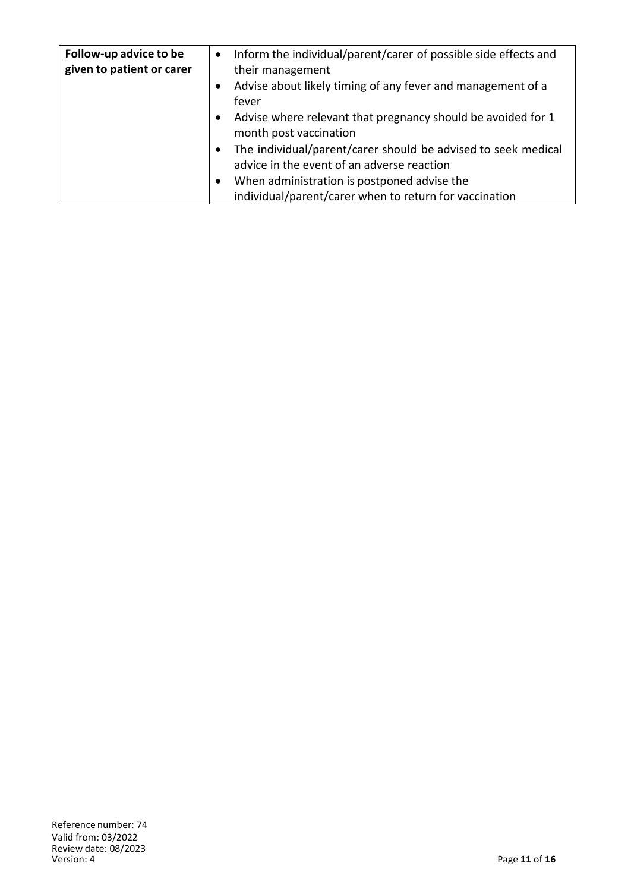| Follow-up advice to be<br>given to patient or carer | Inform the individual/parent/carer of possible side effects and<br>$\bullet$<br>their management |
|-----------------------------------------------------|--------------------------------------------------------------------------------------------------|
|                                                     | Advise about likely timing of any fever and management of a<br>$\bullet$                         |
|                                                     | fever                                                                                            |
|                                                     | Advise where relevant that pregnancy should be avoided for 1<br>$\bullet$                        |
|                                                     | month post vaccination                                                                           |
|                                                     | The individual/parent/carer should be advised to seek medical<br>$\bullet$                       |
|                                                     | advice in the event of an adverse reaction                                                       |
|                                                     | When administration is postponed advise the<br>$\bullet$                                         |
|                                                     | individual/parent/carer when to return for vaccination                                           |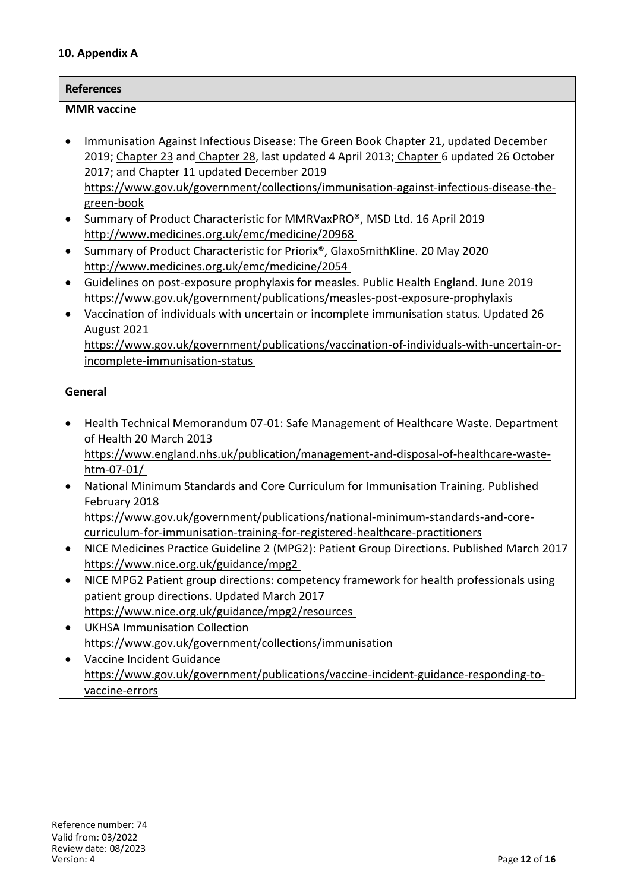#### **10. Appendix A**

| Immunisation Against Infectious Disease: The Green Book Chapter 21, updated December<br>2019; Chapter 23 and Chapter 28, last updated 4 April 2013; Chapter 6 updated 26 October<br>2017; and Chapter 11 updated December 2019<br>https://www.gov.uk/government/collections/immunisation-against-infectious-disease-the-<br>green-book<br>Summary of Product Characteristic for MMRVaxPRO®, MSD Ltd. 16 April 2019<br>http://www.medicines.org.uk/emc/medicine/20968<br>Summary of Product Characteristic for Priorix®, GlaxoSmithKline. 20 May 2020<br>http://www.medicines.org.uk/emc/medicine/2054<br>Guidelines on post-exposure prophylaxis for measles. Public Health England. June 2019<br>https://www.gov.uk/government/publications/measles-post-exposure-prophylaxis<br>Vaccination of individuals with uncertain or incomplete immunisation status. Updated 26<br>August 2021<br>incomplete-immunisation-status<br>of Health 20 March 2013<br>https://www.england.nhs.uk/publication/management-and-disposal-of-healthcare-waste-<br>htm-07-01/<br>National Minimum Standards and Core Curriculum for Immunisation Training. Published<br>February 2018<br>https://www.gov.uk/government/publications/national-minimum-standards-and-core-<br>curriculum-for-immunisation-training-for-registered-healthcare-practitioners<br>https://www.nice.org.uk/guidance/mpg2 |                                                               | <b>References</b>                                                                          |  |
|--------------------------------------------------------------------------------------------------------------------------------------------------------------------------------------------------------------------------------------------------------------------------------------------------------------------------------------------------------------------------------------------------------------------------------------------------------------------------------------------------------------------------------------------------------------------------------------------------------------------------------------------------------------------------------------------------------------------------------------------------------------------------------------------------------------------------------------------------------------------------------------------------------------------------------------------------------------------------------------------------------------------------------------------------------------------------------------------------------------------------------------------------------------------------------------------------------------------------------------------------------------------------------------------------------------------------------------------------------------------------------|---------------------------------------------------------------|--------------------------------------------------------------------------------------------|--|
|                                                                                                                                                                                                                                                                                                                                                                                                                                                                                                                                                                                                                                                                                                                                                                                                                                                                                                                                                                                                                                                                                                                                                                                                                                                                                                                                                                                | <b>MMR</b> vaccine                                            |                                                                                            |  |
| General<br>$\bullet$<br>$\bullet$<br>$\bullet$<br>$\bullet$                                                                                                                                                                                                                                                                                                                                                                                                                                                                                                                                                                                                                                                                                                                                                                                                                                                                                                                                                                                                                                                                                                                                                                                                                                                                                                                    | $\bullet$<br>$\bullet$<br>$\bullet$<br>$\bullet$<br>$\bullet$ | https://www.gov.uk/government/publications/vaccination-of-individuals-with-uncertain-or-   |  |
|                                                                                                                                                                                                                                                                                                                                                                                                                                                                                                                                                                                                                                                                                                                                                                                                                                                                                                                                                                                                                                                                                                                                                                                                                                                                                                                                                                                |                                                               |                                                                                            |  |
|                                                                                                                                                                                                                                                                                                                                                                                                                                                                                                                                                                                                                                                                                                                                                                                                                                                                                                                                                                                                                                                                                                                                                                                                                                                                                                                                                                                |                                                               |                                                                                            |  |
|                                                                                                                                                                                                                                                                                                                                                                                                                                                                                                                                                                                                                                                                                                                                                                                                                                                                                                                                                                                                                                                                                                                                                                                                                                                                                                                                                                                |                                                               | Health Technical Memorandum 07-01: Safe Management of Healthcare Waste. Department         |  |
|                                                                                                                                                                                                                                                                                                                                                                                                                                                                                                                                                                                                                                                                                                                                                                                                                                                                                                                                                                                                                                                                                                                                                                                                                                                                                                                                                                                |                                                               |                                                                                            |  |
|                                                                                                                                                                                                                                                                                                                                                                                                                                                                                                                                                                                                                                                                                                                                                                                                                                                                                                                                                                                                                                                                                                                                                                                                                                                                                                                                                                                |                                                               |                                                                                            |  |
|                                                                                                                                                                                                                                                                                                                                                                                                                                                                                                                                                                                                                                                                                                                                                                                                                                                                                                                                                                                                                                                                                                                                                                                                                                                                                                                                                                                |                                                               |                                                                                            |  |
|                                                                                                                                                                                                                                                                                                                                                                                                                                                                                                                                                                                                                                                                                                                                                                                                                                                                                                                                                                                                                                                                                                                                                                                                                                                                                                                                                                                |                                                               |                                                                                            |  |
|                                                                                                                                                                                                                                                                                                                                                                                                                                                                                                                                                                                                                                                                                                                                                                                                                                                                                                                                                                                                                                                                                                                                                                                                                                                                                                                                                                                |                                                               |                                                                                            |  |
|                                                                                                                                                                                                                                                                                                                                                                                                                                                                                                                                                                                                                                                                                                                                                                                                                                                                                                                                                                                                                                                                                                                                                                                                                                                                                                                                                                                |                                                               | NICE Medicines Practice Guideline 2 (MPG2): Patient Group Directions. Published March 2017 |  |
|                                                                                                                                                                                                                                                                                                                                                                                                                                                                                                                                                                                                                                                                                                                                                                                                                                                                                                                                                                                                                                                                                                                                                                                                                                                                                                                                                                                |                                                               |                                                                                            |  |
|                                                                                                                                                                                                                                                                                                                                                                                                                                                                                                                                                                                                                                                                                                                                                                                                                                                                                                                                                                                                                                                                                                                                                                                                                                                                                                                                                                                |                                                               | NICE MPG2 Patient group directions: competency framework for health professionals using    |  |
| patient group directions. Updated March 2017                                                                                                                                                                                                                                                                                                                                                                                                                                                                                                                                                                                                                                                                                                                                                                                                                                                                                                                                                                                                                                                                                                                                                                                                                                                                                                                                   |                                                               |                                                                                            |  |
| https://www.nice.org.uk/guidance/mpg2/resources                                                                                                                                                                                                                                                                                                                                                                                                                                                                                                                                                                                                                                                                                                                                                                                                                                                                                                                                                                                                                                                                                                                                                                                                                                                                                                                                |                                                               |                                                                                            |  |
| <b>UKHSA Immunisation Collection</b>                                                                                                                                                                                                                                                                                                                                                                                                                                                                                                                                                                                                                                                                                                                                                                                                                                                                                                                                                                                                                                                                                                                                                                                                                                                                                                                                           |                                                               |                                                                                            |  |
| https://www.gov.uk/government/collections/immunisation<br>Vaccine Incident Guidance                                                                                                                                                                                                                                                                                                                                                                                                                                                                                                                                                                                                                                                                                                                                                                                                                                                                                                                                                                                                                                                                                                                                                                                                                                                                                            |                                                               |                                                                                            |  |
| https://www.gov.uk/government/publications/vaccine-incident-guidance-responding-to-                                                                                                                                                                                                                                                                                                                                                                                                                                                                                                                                                                                                                                                                                                                                                                                                                                                                                                                                                                                                                                                                                                                                                                                                                                                                                            |                                                               |                                                                                            |  |
| vaccine-errors                                                                                                                                                                                                                                                                                                                                                                                                                                                                                                                                                                                                                                                                                                                                                                                                                                                                                                                                                                                                                                                                                                                                                                                                                                                                                                                                                                 |                                                               |                                                                                            |  |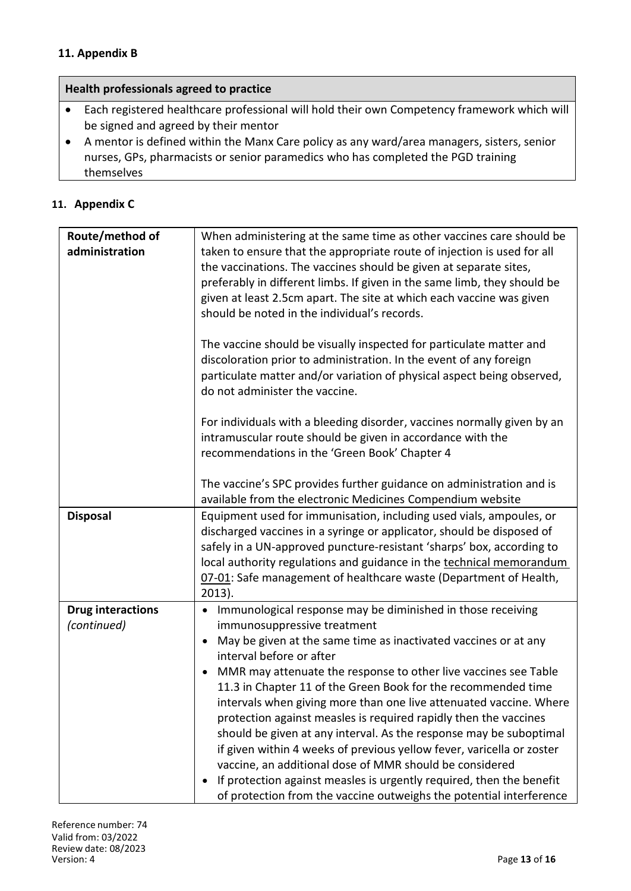## **11. Appendix B**

## **Health professionals agreed to practice**

- Each registered healthcare professional will hold their own Competency framework which will be signed and agreed by their mentor
- A mentor is defined within the Manx Care policy as any ward/area managers, sisters, senior nurses, GPs, pharmacists or senior paramedics who has completed the PGD training themselves

### **11. Appendix C**

| Route/method of<br>administration       | When administering at the same time as other vaccines care should be<br>taken to ensure that the appropriate route of injection is used for all<br>the vaccinations. The vaccines should be given at separate sites,<br>preferably in different limbs. If given in the same limb, they should be<br>given at least 2.5cm apart. The site at which each vaccine was given<br>should be noted in the individual's records.                                                                                                                                                                                                                                                                                                                                                            |
|-----------------------------------------|-------------------------------------------------------------------------------------------------------------------------------------------------------------------------------------------------------------------------------------------------------------------------------------------------------------------------------------------------------------------------------------------------------------------------------------------------------------------------------------------------------------------------------------------------------------------------------------------------------------------------------------------------------------------------------------------------------------------------------------------------------------------------------------|
|                                         | The vaccine should be visually inspected for particulate matter and<br>discoloration prior to administration. In the event of any foreign<br>particulate matter and/or variation of physical aspect being observed,<br>do not administer the vaccine.                                                                                                                                                                                                                                                                                                                                                                                                                                                                                                                               |
|                                         | For individuals with a bleeding disorder, vaccines normally given by an<br>intramuscular route should be given in accordance with the<br>recommendations in the 'Green Book' Chapter 4                                                                                                                                                                                                                                                                                                                                                                                                                                                                                                                                                                                              |
|                                         | The vaccine's SPC provides further guidance on administration and is<br>available from the electronic Medicines Compendium website                                                                                                                                                                                                                                                                                                                                                                                                                                                                                                                                                                                                                                                  |
| <b>Disposal</b>                         | Equipment used for immunisation, including used vials, ampoules, or<br>discharged vaccines in a syringe or applicator, should be disposed of<br>safely in a UN-approved puncture-resistant 'sharps' box, according to<br>local authority regulations and guidance in the technical memorandum<br>07-01: Safe management of healthcare waste (Department of Health,<br>$2013$ ).                                                                                                                                                                                                                                                                                                                                                                                                     |
| <b>Drug interactions</b><br>(continued) | Immunological response may be diminished in those receiving<br>$\bullet$<br>immunosuppressive treatment<br>May be given at the same time as inactivated vaccines or at any<br>interval before or after<br>MMR may attenuate the response to other live vaccines see Table<br>11.3 in Chapter 11 of the Green Book for the recommended time<br>intervals when giving more than one live attenuated vaccine. Where<br>protection against measles is required rapidly then the vaccines<br>should be given at any interval. As the response may be suboptimal<br>if given within 4 weeks of previous yellow fever, varicella or zoster<br>vaccine, an additional dose of MMR should be considered<br>If protection against measles is urgently required, then the benefit<br>$\bullet$ |
|                                         | of protection from the vaccine outweighs the potential interference                                                                                                                                                                                                                                                                                                                                                                                                                                                                                                                                                                                                                                                                                                                 |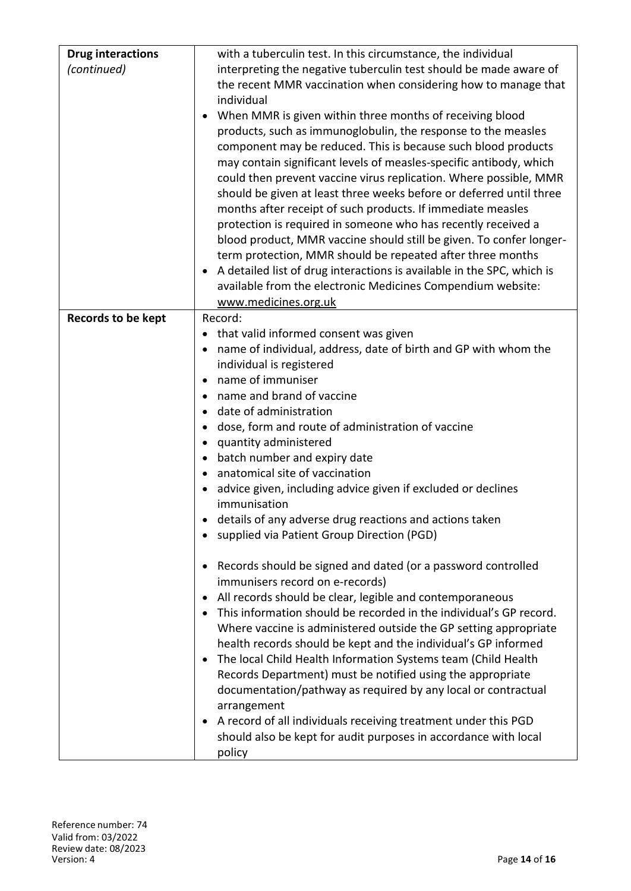| <b>Drug interactions</b><br>(continued) | with a tuberculin test. In this circumstance, the individual<br>interpreting the negative tuberculin test should be made aware of<br>the recent MMR vaccination when considering how to manage that<br>individual<br>When MMR is given within three months of receiving blood<br>products, such as immunoglobulin, the response to the measles<br>component may be reduced. This is because such blood products<br>may contain significant levels of measles-specific antibody, which<br>could then prevent vaccine virus replication. Where possible, MMR<br>should be given at least three weeks before or deferred until three<br>months after receipt of such products. If immediate measles<br>protection is required in someone who has recently received a<br>blood product, MMR vaccine should still be given. To confer longer-<br>term protection, MMR should be repeated after three months<br>A detailed list of drug interactions is available in the SPC, which is<br>available from the electronic Medicines Compendium website:<br>www.medicines.org.uk                                                                                                                                                                                                                                         |
|-----------------------------------------|-----------------------------------------------------------------------------------------------------------------------------------------------------------------------------------------------------------------------------------------------------------------------------------------------------------------------------------------------------------------------------------------------------------------------------------------------------------------------------------------------------------------------------------------------------------------------------------------------------------------------------------------------------------------------------------------------------------------------------------------------------------------------------------------------------------------------------------------------------------------------------------------------------------------------------------------------------------------------------------------------------------------------------------------------------------------------------------------------------------------------------------------------------------------------------------------------------------------------------------------------------------------------------------------------------------------|
| Records to be kept                      | Record:<br>that valid informed consent was given<br>name of individual, address, date of birth and GP with whom the<br>individual is registered<br>name of immuniser<br>name and brand of vaccine<br>date of administration<br>dose, form and route of administration of vaccine<br>quantity administered<br>• batch number and expiry date<br>anatomical site of vaccination<br>advice given, including advice given if excluded or declines<br>immunisation<br>details of any adverse drug reactions and actions taken<br>supplied via Patient Group Direction (PGD)<br>Records should be signed and dated (or a password controlled<br>immunisers record on e-records)<br>All records should be clear, legible and contemporaneous<br>This information should be recorded in the individual's GP record.<br>Where vaccine is administered outside the GP setting appropriate<br>health records should be kept and the individual's GP informed<br>The local Child Health Information Systems team (Child Health<br>Records Department) must be notified using the appropriate<br>documentation/pathway as required by any local or contractual<br>arrangement<br>A record of all individuals receiving treatment under this PGD<br>should also be kept for audit purposes in accordance with local<br>policy |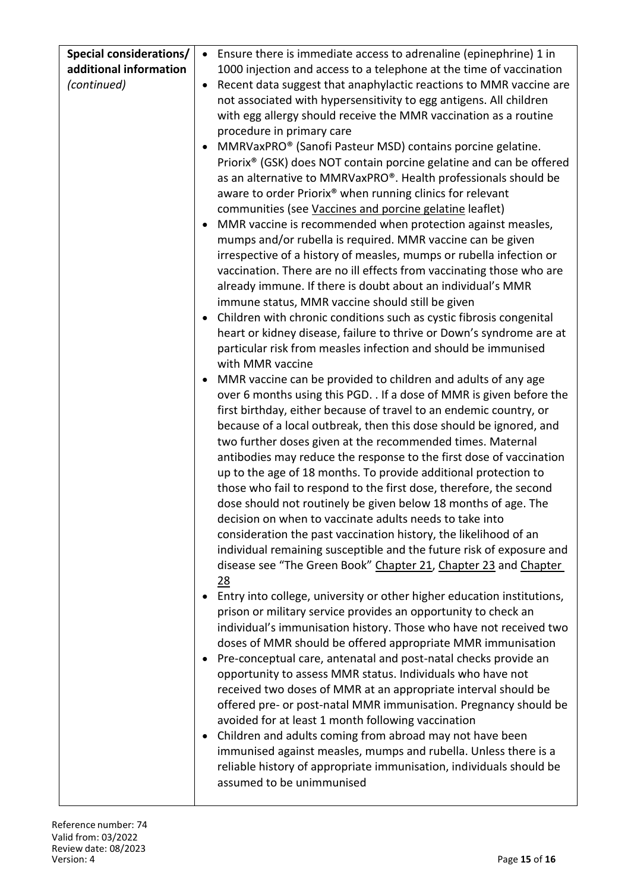| <b>Special considerations/</b> | Ensure there is immediate access to adrenaline (epinephrine) 1 in<br>$\bullet$  |
|--------------------------------|---------------------------------------------------------------------------------|
| additional information         | 1000 injection and access to a telephone at the time of vaccination             |
| (continued)                    | Recent data suggest that anaphylactic reactions to MMR vaccine are<br>$\bullet$ |
|                                | not associated with hypersensitivity to egg antigens. All children              |
|                                | with egg allergy should receive the MMR vaccination as a routine                |
|                                | procedure in primary care                                                       |
|                                | MMRVaxPRO® (Sanofi Pasteur MSD) contains porcine gelatine.                      |
|                                | Priorix <sup>®</sup> (GSK) does NOT contain porcine gelatine and can be offered |
|                                | as an alternative to MMRVaxPRO®. Health professionals should be                 |
|                                | aware to order Priorix® when running clinics for relevant                       |
|                                | communities (see Vaccines and porcine gelatine leaflet)                         |
|                                | MMR vaccine is recommended when protection against measles,                     |
|                                | mumps and/or rubella is required. MMR vaccine can be given                      |
|                                | irrespective of a history of measles, mumps or rubella infection or             |
|                                | vaccination. There are no ill effects from vaccinating those who are            |
|                                | already immune. If there is doubt about an individual's MMR                     |
|                                | immune status, MMR vaccine should still be given                                |
|                                | Children with chronic conditions such as cystic fibrosis congenital<br>٠        |
|                                | heart or kidney disease, failure to thrive or Down's syndrome are at            |
|                                | particular risk from measles infection and should be immunised                  |
|                                | with MMR vaccine                                                                |
|                                | MMR vaccine can be provided to children and adults of any age                   |
|                                | over 6 months using this PGD. . If a dose of MMR is given before the            |
|                                | first birthday, either because of travel to an endemic country, or              |
|                                | because of a local outbreak, then this dose should be ignored, and              |
|                                | two further doses given at the recommended times. Maternal                      |
|                                | antibodies may reduce the response to the first dose of vaccination             |
|                                | up to the age of 18 months. To provide additional protection to                 |
|                                | those who fail to respond to the first dose, therefore, the second              |
|                                | dose should not routinely be given below 18 months of age. The                  |
|                                | decision on when to vaccinate adults needs to take into                         |
|                                | consideration the past vaccination history, the likelihood of an                |
|                                | individual remaining susceptible and the future risk of exposure and            |
|                                | disease see "The Green Book" Chapter 21, Chapter 23 and Chapter                 |
|                                | 28                                                                              |
|                                | Entry into college, university or other higher education institutions,          |
|                                | prison or military service provides an opportunity to check an                  |
|                                | individual's immunisation history. Those who have not received two              |
|                                | doses of MMR should be offered appropriate MMR immunisation                     |
|                                | Pre-conceptual care, antenatal and post-natal checks provide an                 |
|                                | opportunity to assess MMR status. Individuals who have not                      |
|                                | received two doses of MMR at an appropriate interval should be                  |
|                                | offered pre- or post-natal MMR immunisation. Pregnancy should be                |
|                                | avoided for at least 1 month following vaccination                              |
|                                | Children and adults coming from abroad may not have been                        |
|                                | immunised against measles, mumps and rubella. Unless there is a                 |
|                                | reliable history of appropriate immunisation, individuals should be             |
|                                | assumed to be unimmunised                                                       |
|                                |                                                                                 |